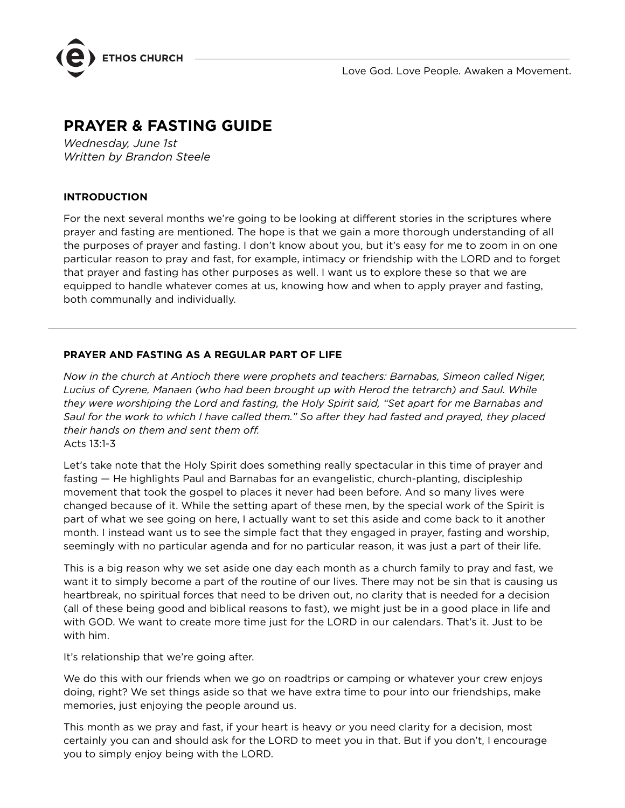

# **PRAYER & FASTING GUIDE**

*Wednesday, June 1st Written by Brandon Steele*

## **INTRODUCTION**

For the next several months we're going to be looking at different stories in the scriptures where prayer and fasting are mentioned. The hope is that we gain a more thorough understanding of all the purposes of prayer and fasting. I don't know about you, but it's easy for me to zoom in on one particular reason to pray and fast, for example, intimacy or friendship with the LORD and to forget that prayer and fasting has other purposes as well. I want us to explore these so that we are equipped to handle whatever comes at us, knowing how and when to apply prayer and fasting, both communally and individually.

#### **PRAYER AND FASTING AS A REGULAR PART OF LIFE**

*Now in the church at Antioch there were prophets and teachers: Barnabas, Simeon called Niger, Lucius of Cyrene, Manaen (who had been brought up with Herod the tetrarch) and Saul. While they were worshiping the Lord and fasting, the Holy Spirit said, "Set apart for me Barnabas and Saul for the work to which I have called them." So after they had fasted and prayed, they placed their hands on them and sent them off.* Acts 13:1-3

Let's take note that the Holy Spirit does something really spectacular in this time of prayer and fasting — He highlights Paul and Barnabas for an evangelistic, church-planting, discipleship movement that took the gospel to places it never had been before. And so many lives were changed because of it. While the setting apart of these men, by the special work of the Spirit is part of what we see going on here, I actually want to set this aside and come back to it another month. I instead want us to see the simple fact that they engaged in prayer, fasting and worship, seemingly with no particular agenda and for no particular reason, it was just a part of their life.

This is a big reason why we set aside one day each month as a church family to pray and fast, we want it to simply become a part of the routine of our lives. There may not be sin that is causing us heartbreak, no spiritual forces that need to be driven out, no clarity that is needed for a decision (all of these being good and biblical reasons to fast), we might just be in a good place in life and with GOD. We want to create more time just for the LORD in our calendars. That's it. Just to be with him.

It's relationship that we're going after.

We do this with our friends when we go on roadtrips or camping or whatever your crew enjoys doing, right? We set things aside so that we have extra time to pour into our friendships, make memories, just enjoying the people around us.

This month as we pray and fast, if your heart is heavy or you need clarity for a decision, most certainly you can and should ask for the LORD to meet you in that. But if you don't, I encourage you to simply enjoy being with the LORD.